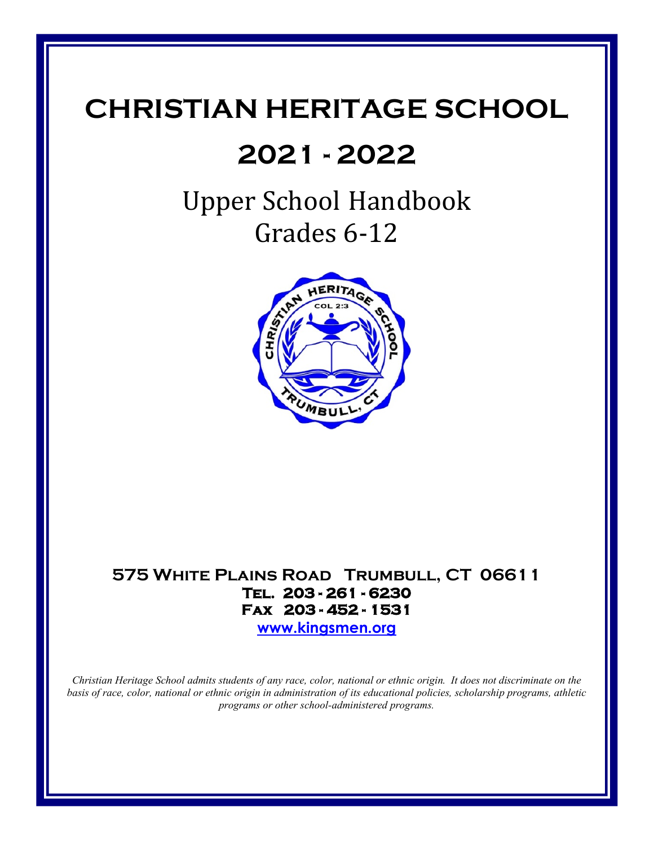# **CHRISTIAN HERITAGE SCHOOL**

# **2021 - 2022**

# Upper School Handbook Grades 6-12



# **575 White Plains Road Trumbull, CT 06611 Tel. 203 - 261 - 6230 Fax 203 - 452 - 1531**

**[www.kingsmen.org](http://www.kingsmen.org/)**

*Christian Heritage School admits students of any race, color, national or ethnic origin. It does not discriminate on the basis of race, color, national or ethnic origin in administration of its educational policies, scholarship programs, athletic programs or other school-administered programs.*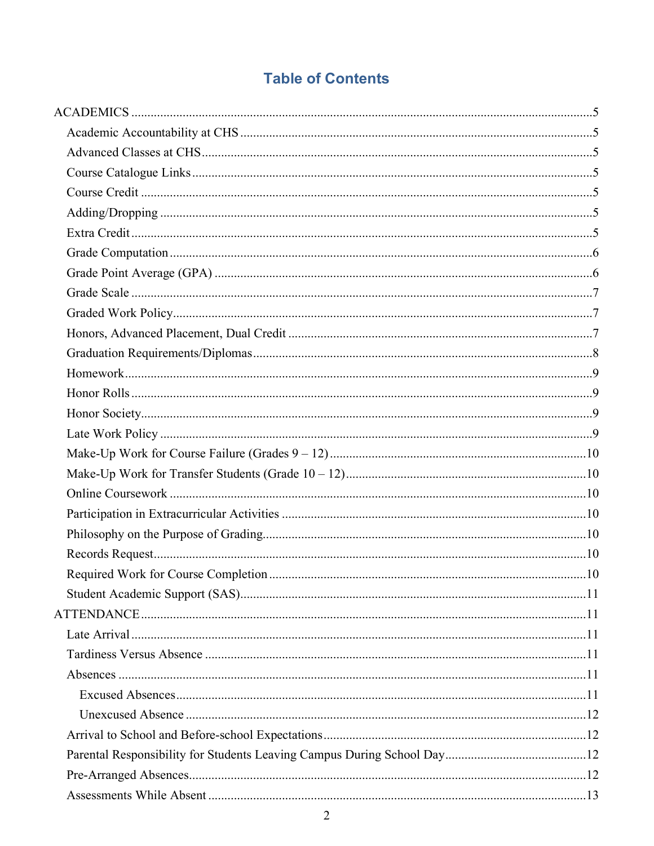# **Table of Contents**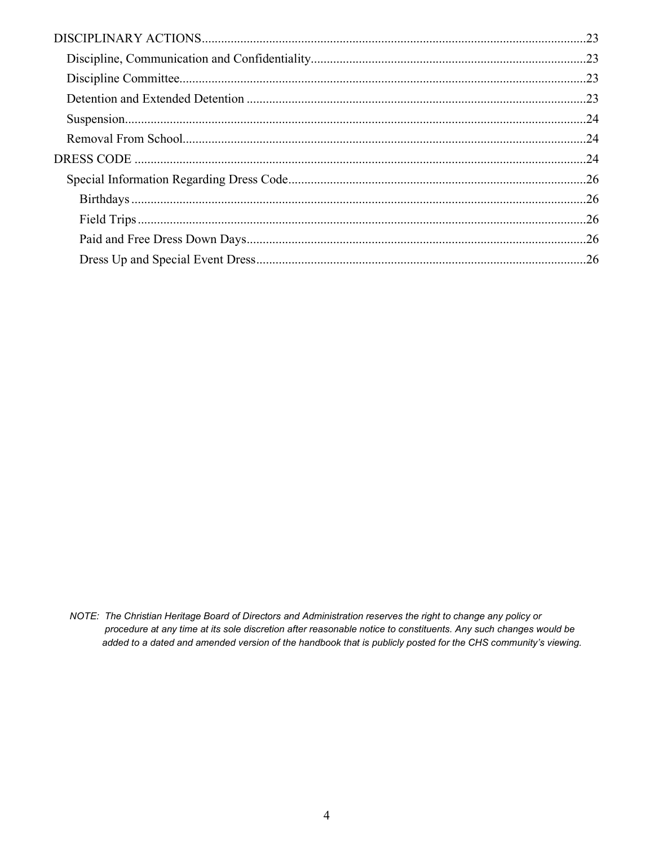NOTE: The Christian Heritage Board of Directors and Administration reserves the right to change any policy or procedure at any time at its sole discretion after reasonable notice to constituents. Any such changes would be added to a dated and amended version of the handbook that is publicly posted for the CHS community's viewing.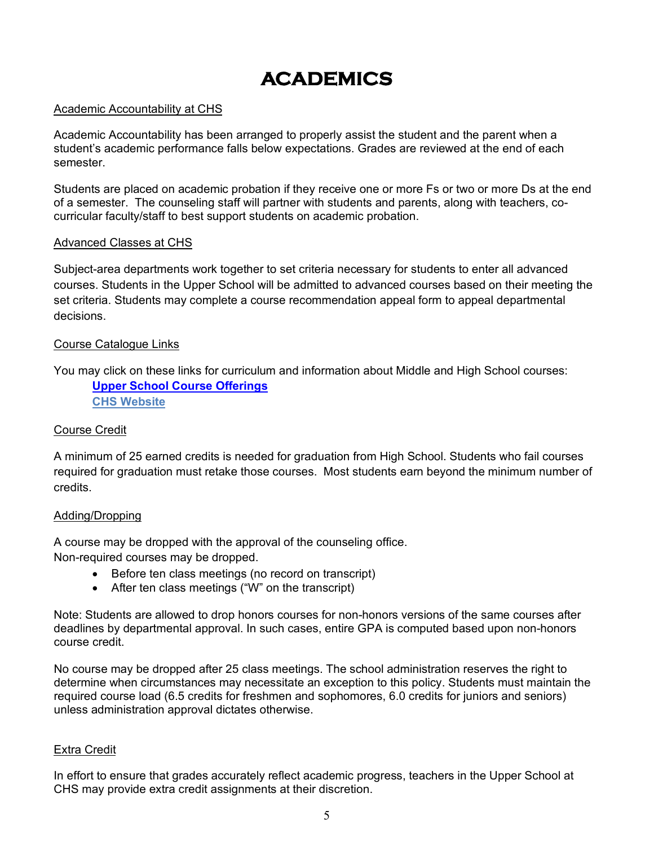# **ACADEMICS**

#### <span id="page-4-1"></span><span id="page-4-0"></span>Academic Accountability at CHS

Academic Accountability has been arranged to properly assist the student and the parent when a student's academic performance falls below expectations. Grades are reviewed at the end of each semester.

Students are placed on academic probation if they receive one or more Fs or two or more Ds at the end of a semester. The counseling staff will partner with students and parents, along with teachers, cocurricular faculty/staff to best support students on academic probation.

#### <span id="page-4-2"></span>Advanced Classes at CHS

Subject-area departments work together to set criteria necessary for students to enter all advanced courses. Students in the Upper School will be admitted to advanced courses based on their meeting the set criteria. Students may complete a course recommendation appeal form to appeal departmental decisions.

#### <span id="page-4-3"></span>Course Catalogue Links

You may click on these links for curriculum and information about Middle and High School courses: **[Upper School Course Offerings](https://www.kingsmen.org/editoruploads/files/2020.2021/Program_of_Studies_2020-2021.pdf) [CHS Website](http://www.kingsmen.org/)**

#### <span id="page-4-4"></span>Course Credit

A minimum of 25 earned credits is needed for graduation from High School. Students who fail courses required for graduation must retake those courses. Most students earn beyond the minimum number of credits.

#### <span id="page-4-5"></span>Adding/Dropping

A course may be dropped with the approval of the counseling office.

Non-required courses may be dropped.

- Before ten class meetings (no record on transcript)
- After ten class meetings ("W" on the transcript)

Note: Students are allowed to drop honors courses for non-honors versions of the same courses after deadlines by departmental approval. In such cases, entire GPA is computed based upon non-honors course credit.

No course may be dropped after 25 class meetings. The school administration reserves the right to determine when circumstances may necessitate an exception to this policy. Students must maintain the required course load (6.5 credits for freshmen and sophomores, 6.0 credits for juniors and seniors) unless administration approval dictates otherwise.

#### <span id="page-4-6"></span>Extra Credit

In effort to ensure that grades accurately reflect academic progress, teachers in the Upper School at CHS may provide extra credit assignments at their discretion.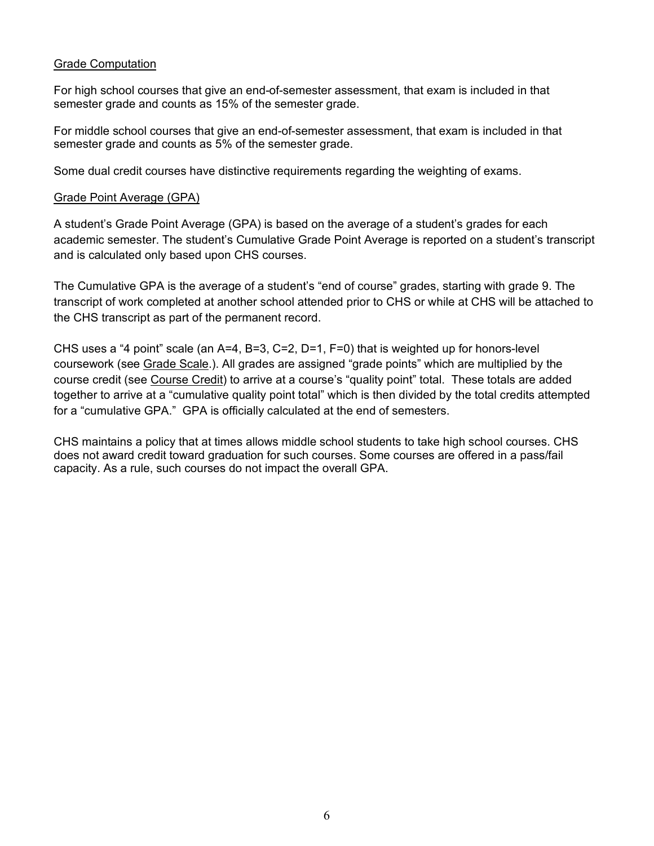## <span id="page-5-0"></span>Grade Computation

For high school courses that give an end-of-semester assessment, that exam is included in that semester grade and counts as 15% of the semester grade.

For middle school courses that give an end-of-semester assessment, that exam is included in that semester grade and counts as 5% of the semester grade.

<span id="page-5-1"></span>Some dual credit courses have distinctive requirements regarding the weighting of exams.

#### Grade Point Average (GPA)

A student's Grade Point Average (GPA) is based on the average of a student's grades for each academic semester. The student's Cumulative Grade Point Average is reported on a student's transcript and is calculated only based upon CHS courses.

The Cumulative GPA is the average of a student's "end of course" grades, starting with grade 9. The transcript of work completed at another school attended prior to CHS or while at CHS will be attached to the CHS transcript as part of the permanent record.

CHS uses a "4 point" scale (an  $A=4$ ,  $B=3$ ,  $C=2$ ,  $D=1$ ,  $F=0$ ) that is weighted up for honors-level coursework (see Grade Scale.). All grades are assigned "grade points" which are multiplied by the course credit (see Course Credit) to arrive at a course's "quality point" total. These totals are added together to arrive at a "cumulative quality point total" which is then divided by the total credits attempted for a "cumulative GPA." GPA is officially calculated at the end of semesters.

CHS maintains a policy that at times allows middle school students to take high school courses. CHS does not award credit toward graduation for such courses. Some courses are offered in a pass/fail capacity. As a rule, such courses do not impact the overall GPA.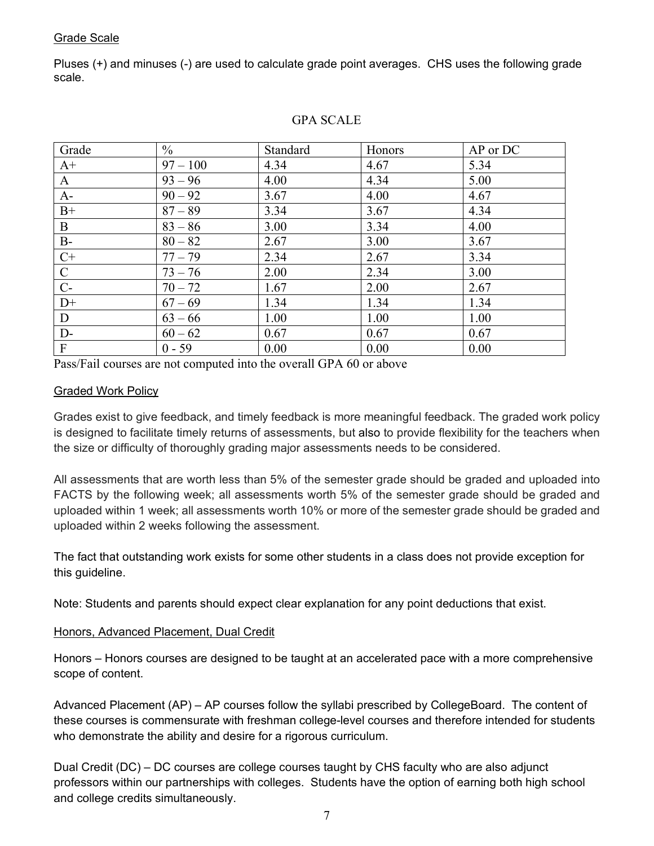## <span id="page-6-0"></span>Grade Scale

Pluses (+) and minuses (-) are used to calculate grade point averages. CHS uses the following grade scale.

| Grade                     | $\frac{0}{0}$ | Standard | Honors | AP or DC |
|---------------------------|---------------|----------|--------|----------|
| $A+$                      | $97 - 100$    | 4.34     | 4.67   | 5.34     |
| A                         | $93 - 96$     | 4.00     | 4.34   | 5.00     |
| $A-$                      | $90 - 92$     | 3.67     | 4.00   | 4.67     |
| $B+$                      | $87 - 89$     | 3.34     | 3.67   | 4.34     |
| B                         | $83 - 86$     | 3.00     | 3.34   | 4.00     |
| $B-$                      | $80 - 82$     | 2.67     | 3.00   | 3.67     |
| $C+$                      | $77 - 79$     | 2.34     | 2.67   | 3.34     |
| $\mathsf{C}$              | $73 - 76$     | 2.00     | 2.34   | 3.00     |
| $C-$                      | $70 - 72$     | 1.67     | 2.00   | 2.67     |
| $D+$                      | $67 - 69$     | 1.34     | 1.34   | 1.34     |
| D                         | $63 - 66$     | 1.00     | 1.00   | 1.00     |
| $D-$                      | $60 - 62$     | 0.67     | 0.67   | 0.67     |
| $\boldsymbol{\mathrm{F}}$ | $0 - 59$      | 0.00     | 0.00   | 0.00     |

#### GPA SCALE

<span id="page-6-1"></span>Pass/Fail courses are not computed into the overall GPA 60 or above

#### Graded Work Policy

Grades exist to give feedback, and timely feedback is more meaningful feedback. The graded work policy is designed to facilitate timely returns of assessments, but also to provide flexibility for the teachers when the size or difficulty of thoroughly grading major assessments needs to be considered.

All assessments that are worth less than 5% of the semester grade should be graded and uploaded into FACTS by the following week; all assessments worth 5% of the semester grade should be graded and uploaded within 1 week; all assessments worth 10% or more of the semester grade should be graded and uploaded within 2 weeks following the assessment.

The fact that outstanding work exists for some other students in a class does not provide exception for this guideline.

Note: Students and parents should expect clear explanation for any point deductions that exist.

#### <span id="page-6-2"></span>Honors, Advanced Placement, Dual Credit

Honors – Honors courses are designed to be taught at an accelerated pace with a more comprehensive scope of content.

Advanced Placement (AP) – AP courses follow the syllabi prescribed by CollegeBoard. The content of these courses is commensurate with freshman college-level courses and therefore intended for students who demonstrate the ability and desire for a rigorous curriculum.

Dual Credit (DC) – DC courses are college courses taught by CHS faculty who are also adjunct professors within our partnerships with colleges. Students have the option of earning both high school and college credits simultaneously.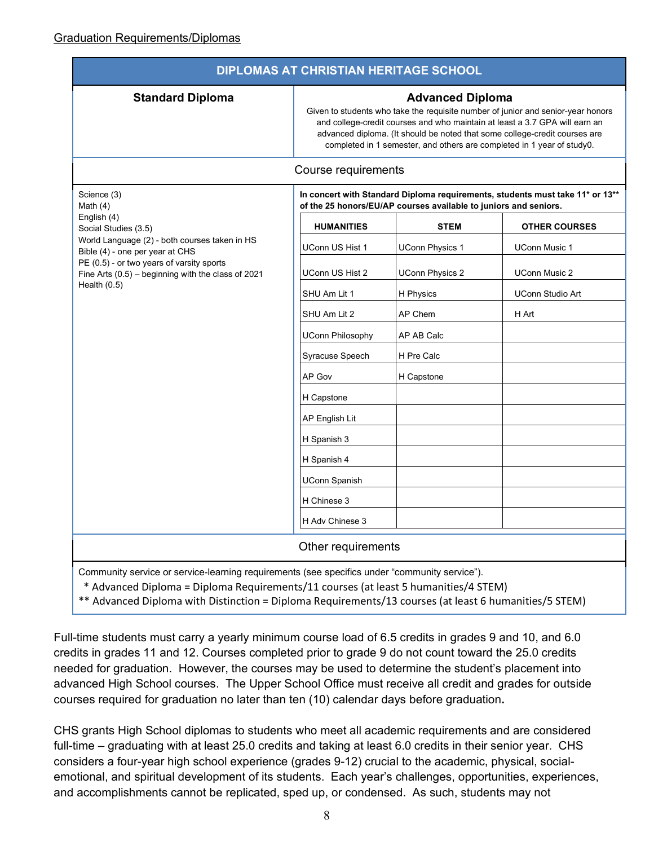<span id="page-7-0"></span>

| <b>DIPLOMAS AT CHRISTIAN HERITAGE SCHOOL</b>                                                                                                                                         |                                                                                                                                                                                                                                                                                                                                                    |                        |                         |  |  |  |
|--------------------------------------------------------------------------------------------------------------------------------------------------------------------------------------|----------------------------------------------------------------------------------------------------------------------------------------------------------------------------------------------------------------------------------------------------------------------------------------------------------------------------------------------------|------------------------|-------------------------|--|--|--|
| <b>Standard Diploma</b>                                                                                                                                                              | <b>Advanced Diploma</b><br>Given to students who take the requisite number of junior and senior-year honors<br>and college-credit courses and who maintain at least a 3.7 GPA will earn an<br>advanced diploma. (It should be noted that some college-credit courses are<br>completed in 1 semester, and others are completed in 1 year of study0. |                        |                         |  |  |  |
| Course requirements                                                                                                                                                                  |                                                                                                                                                                                                                                                                                                                                                    |                        |                         |  |  |  |
| Science (3)<br>Math $(4)$<br>English (4)<br>Social Studies (3.5)                                                                                                                     | In concert with Standard Diploma requirements, students must take 11* or 13**<br>of the 25 honors/EU/AP courses available to juniors and seniors.                                                                                                                                                                                                  |                        |                         |  |  |  |
|                                                                                                                                                                                      | <b>HUMANITIES</b>                                                                                                                                                                                                                                                                                                                                  | <b>STEM</b>            | <b>OTHER COURSES</b>    |  |  |  |
| World Language (2) - both courses taken in HS<br>Bible (4) - one per year at CHS                                                                                                     | UConn US Hist 1                                                                                                                                                                                                                                                                                                                                    | <b>UConn Physics 1</b> | <b>UConn Music 1</b>    |  |  |  |
| PE (0.5) - or two years of varsity sports<br>Fine Arts $(0.5)$ - beginning with the class of 2021                                                                                    | <b>UConn US Hist 2</b>                                                                                                                                                                                                                                                                                                                             | <b>UConn Physics 2</b> | <b>UConn Music 2</b>    |  |  |  |
| Health $(0.5)$                                                                                                                                                                       | SHU Am Lit 1                                                                                                                                                                                                                                                                                                                                       | H Physics              | <b>UConn Studio Art</b> |  |  |  |
|                                                                                                                                                                                      | SHU Am Lit 2                                                                                                                                                                                                                                                                                                                                       | AP Chem                | H Art                   |  |  |  |
|                                                                                                                                                                                      | <b>UConn Philosophy</b>                                                                                                                                                                                                                                                                                                                            | AP AB Calc             |                         |  |  |  |
|                                                                                                                                                                                      | Syracuse Speech                                                                                                                                                                                                                                                                                                                                    | H Pre Calc             |                         |  |  |  |
|                                                                                                                                                                                      | AP Gov                                                                                                                                                                                                                                                                                                                                             | H Capstone             |                         |  |  |  |
|                                                                                                                                                                                      | H Capstone                                                                                                                                                                                                                                                                                                                                         |                        |                         |  |  |  |
|                                                                                                                                                                                      | AP English Lit                                                                                                                                                                                                                                                                                                                                     |                        |                         |  |  |  |
|                                                                                                                                                                                      | H Spanish 3                                                                                                                                                                                                                                                                                                                                        |                        |                         |  |  |  |
|                                                                                                                                                                                      | H Spanish 4                                                                                                                                                                                                                                                                                                                                        |                        |                         |  |  |  |
|                                                                                                                                                                                      | <b>UConn Spanish</b>                                                                                                                                                                                                                                                                                                                               |                        |                         |  |  |  |
|                                                                                                                                                                                      | H Chinese 3                                                                                                                                                                                                                                                                                                                                        |                        |                         |  |  |  |
|                                                                                                                                                                                      | H Adv Chinese 3                                                                                                                                                                                                                                                                                                                                    |                        |                         |  |  |  |
| Other requirements                                                                                                                                                                   |                                                                                                                                                                                                                                                                                                                                                    |                        |                         |  |  |  |
| Community service or service-learning requirements (see specifics under "community service").<br>* Advanced Diploma = Diploma Requirements/11 courses (at least 5 humanities/4 STEM) |                                                                                                                                                                                                                                                                                                                                                    |                        |                         |  |  |  |

\*\* Advanced Diploma with Distinction = Diploma Requirements/13 courses (at least 6 humanities/5 STEM)

Full-time students must carry a yearly minimum course load of 6.5 credits in grades 9 and 10, and 6.0 credits in grades 11 and 12. Courses completed prior to grade 9 do not count toward the 25.0 credits needed for graduation. However, the courses may be used to determine the student's placement into advanced High School courses. The Upper School Office must receive all credit and grades for outside courses required for graduation no later than ten (10) calendar days before graduation**.**

CHS grants High School diplomas to students who meet all academic requirements and are considered full-time – graduating with at least 25.0 credits and taking at least 6.0 credits in their senior year. CHS considers a four-year high school experience (grades 9-12) crucial to the academic, physical, socialemotional, and spiritual development of its students. Each year's challenges, opportunities, experiences, and accomplishments cannot be replicated, sped up, or condensed. As such, students may not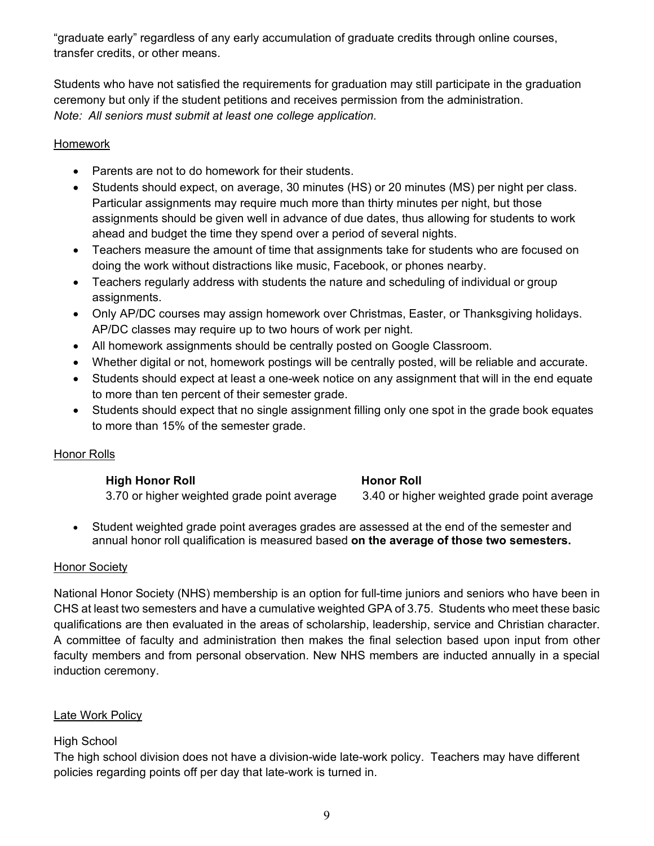"graduate early" regardless of any early accumulation of graduate credits through online courses, transfer credits, or other means.

Students who have not satisfied the requirements for graduation may still participate in the graduation ceremony but only if the student petitions and receives permission from the administration. *Note: All seniors must submit at least one college application.*

# <span id="page-8-0"></span>Homework

- Parents are not to do homework for their students.
- Students should expect, on average, 30 minutes (HS) or 20 minutes (MS) per night per class. Particular assignments may require much more than thirty minutes per night, but those assignments should be given well in advance of due dates, thus allowing for students to work ahead and budget the time they spend over a period of several nights.
- Teachers measure the amount of time that assignments take for students who are focused on doing the work without distractions like music, Facebook, or phones nearby.
- Teachers regularly address with students the nature and scheduling of individual or group assignments.
- Only AP/DC courses may assign homework over Christmas, Easter, or Thanksgiving holidays. AP/DC classes may require up to two hours of work per night.
- All homework assignments should be centrally posted on Google Classroom.
- Whether digital or not, homework postings will be centrally posted, will be reliable and accurate.
- Students should expect at least a one-week notice on any assignment that will in the end equate to more than ten percent of their semester grade.
- Students should expect that no single assignment filling only one spot in the grade book equates to more than 15% of the semester grade.

# <span id="page-8-1"></span>Honor Rolls

# **High Honor Roll Honor Roll**

3.70 or higher weighted grade point average 3.40 or higher weighted grade point average

• Student weighted grade point averages grades are assessed at the end of the semester and annual honor roll qualification is measured based **on the average of those two semesters.**

# <span id="page-8-2"></span>**Honor Society**

National Honor Society (NHS) membership is an option for full-time juniors and seniors who have been in CHS at least two semesters and have a cumulative weighted GPA of 3.75. Students who meet these basic qualifications are then evaluated in the areas of scholarship, leadership, service and Christian character. A committee of faculty and administration then makes the final selection based upon input from other faculty members and from personal observation. New NHS members are inducted annually in a special induction ceremony.

# <span id="page-8-3"></span>Late Work Policy

# High School

The high school division does not have a division-wide late-work policy. Teachers may have different policies regarding points off per day that late-work is turned in.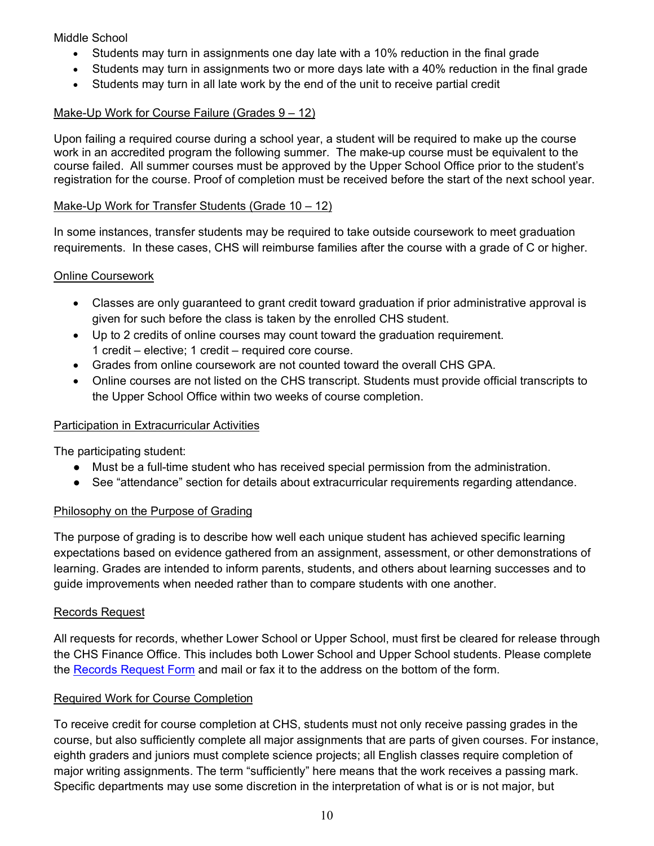Middle School

- Students may turn in assignments one day late with a 10% reduction in the final grade
- Students may turn in assignments two or more days late with a 40% reduction in the final grade
- Students may turn in all late work by the end of the unit to receive partial credit

# <span id="page-9-0"></span>Make-Up Work for Course Failure (Grades 9 – 12)

Upon failing a required course during a school year, a student will be required to make up the course work in an accredited program the following summer. The make-up course must be equivalent to the course failed. All summer courses must be approved by the Upper School Office prior to the student's registration for the course. Proof of completion must be received before the start of the next school year.

# <span id="page-9-1"></span>Make-Up Work for Transfer Students (Grade 10 – 12)

In some instances, transfer students may be required to take outside coursework to meet graduation requirements. In these cases, CHS will reimburse families after the course with a grade of C or higher.

# <span id="page-9-2"></span>Online Coursework

- Classes are only guaranteed to grant credit toward graduation if prior administrative approval is given for such before the class is taken by the enrolled CHS student.
- Up to 2 credits of online courses may count toward the graduation requirement. 1 credit – elective; 1 credit – required core course.
- Grades from online coursework are not counted toward the overall CHS GPA.
- Online courses are not listed on the CHS transcript. Students must provide official transcripts to the Upper School Office within two weeks of course completion.

# <span id="page-9-3"></span>Participation in Extracurricular Activities

The participating student:

- Must be a full-time student who has received special permission from the administration.
- See "attendance" section for details about extracurricular requirements regarding attendance.

# <span id="page-9-4"></span>Philosophy on the Purpose of Grading

The purpose of grading is to describe how well each unique student has achieved specific learning expectations based on evidence gathered from an assignment, assessment, or other demonstrations of learning. Grades are intended to inform parents, students, and others about learning successes and to guide improvements when needed rather than to compare students with one another.

# <span id="page-9-5"></span>Records Request

All requests for records, whether Lower School or Upper School, must first be cleared for release through the CHS Finance Office. This includes both Lower School and Upper School students. Please complete the [Records Request Form](https://www.kingsmen.org/editoruploads/files/School%20Records%20Request%20Form.pdf) and mail or fax it to the address on the bottom of the form.

# <span id="page-9-6"></span>Required Work for Course Completion

To receive credit for course completion at CHS, students must not only receive passing grades in the course, but also sufficiently complete all major assignments that are parts of given courses. For instance, eighth graders and juniors must complete science projects; all English classes require completion of major writing assignments. The term "sufficiently" here means that the work receives a passing mark. Specific departments may use some discretion in the interpretation of what is or is not major, but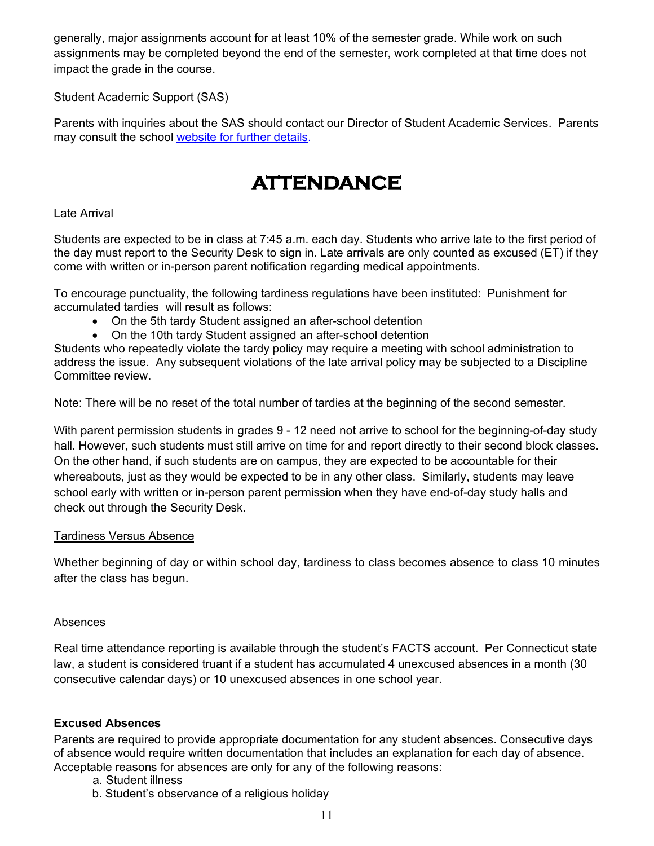generally, major assignments account for at least 10% of the semester grade. While work on such assignments may be completed beyond the end of the semester, work completed at that time does not impact the grade in the course.

# <span id="page-10-0"></span>Student Academic Support (SAS)

<span id="page-10-1"></span>Parents with inquiries about the SAS should contact our Director of Student Academic Services. Parents may consult the school website [for further details.](https://www.kingsmen.org/academics/student-academic-services.cfm)

# **ATTENDANCE**

# <span id="page-10-2"></span>Late Arrival

Students are expected to be in class at 7:45 a.m. each day. Students who arrive late to the first period of the day must report to the Security Desk to sign in. Late arrivals are only counted as excused (ET) if they come with written or in-person parent notification regarding medical appointments.

To encourage punctuality, the following tardiness regulations have been instituted: Punishment for accumulated tardies will result as follows:

- On the 5th tardy Student assigned an after-school detention
- On the 10th tardy Student assigned an after-school detention

Students who repeatedly violate the tardy policy may require a meeting with school administration to address the issue. Any subsequent violations of the late arrival policy may be subjected to a Discipline Committee review.

Note: There will be no reset of the total number of tardies at the beginning of the second semester.

With parent permission students in grades 9 - 12 need not arrive to school for the beginning-of-day study hall. However, such students must still arrive on time for and report directly to their second block classes. On the other hand, if such students are on campus, they are expected to be accountable for their whereabouts, just as they would be expected to be in any other class. Similarly, students may leave school early with written or in-person parent permission when they have end-of-day study halls and check out through the Security Desk.

#### <span id="page-10-3"></span>Tardiness Versus Absence

Whether beginning of day or within school day, tardiness to class becomes absence to class 10 minutes after the class has begun.

# <span id="page-10-4"></span>Absences

Real time attendance reporting is available through the student's FACTS account. Per Connecticut state law, a student is considered truant if a student has accumulated 4 unexcused absences in a month (30 consecutive calendar days) or 10 unexcused absences in one school year.

# <span id="page-10-5"></span>**Excused Absences**

Parents are required to provide appropriate documentation for any student absences. Consecutive days of absence would require written documentation that includes an explanation for each day of absence. Acceptable reasons for absences are only for any of the following reasons:

- a. Student illness
- b. Student's observance of a religious holiday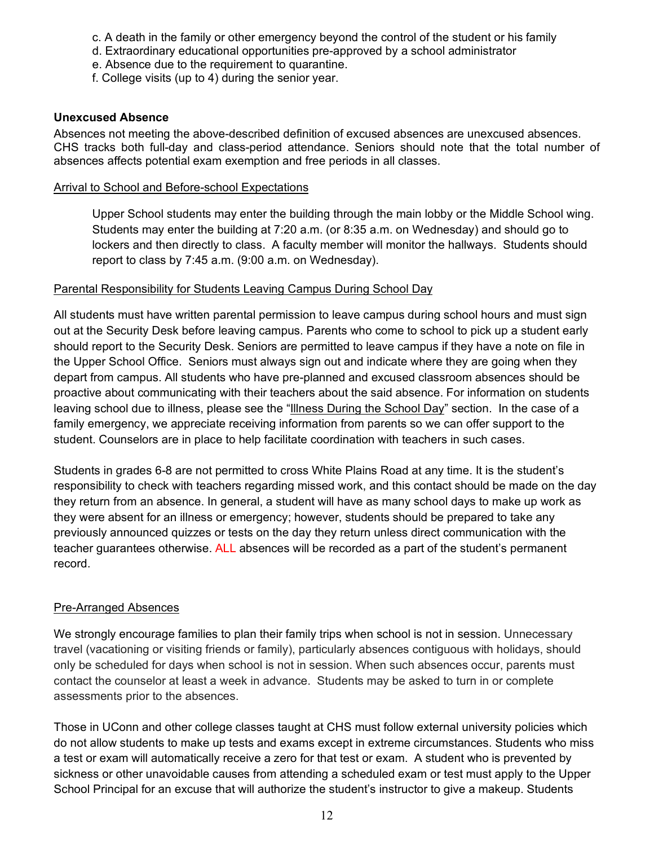- c. A death in the family or other emergency beyond the control of the student or his family
- d. Extraordinary educational opportunities pre-approved by a school administrator
- e. Absence due to the requirement to quarantine.
- f. College visits (up to 4) during the senior year.

### <span id="page-11-0"></span>**Unexcused Absence**

Absences not meeting the above-described definition of excused absences are unexcused absences. CHS tracks both full-day and class-period attendance. Seniors should note that the total number of absences affects potential exam exemption and free periods in all classes.

#### <span id="page-11-1"></span>Arrival to School and Before-school Expectations

Upper School students may enter the building through the main lobby or the Middle School wing. Students may enter the building at 7:20 a.m. (or 8:35 a.m. on Wednesday) and should go to lockers and then directly to class. A faculty member will monitor the hallways. Students should report to class by 7:45 a.m. (9:00 a.m. on Wednesday).

#### <span id="page-11-2"></span>Parental Responsibility for Students Leaving Campus During School Day

All students must have written parental permission to leave campus during school hours and must sign out at the Security Desk before leaving campus. Parents who come to school to pick up a student early should report to the Security Desk. Seniors are permitted to leave campus if they have a note on file in the Upper School Office. Seniors must always sign out and indicate where they are going when they depart from campus. All students who have pre-planned and excused classroom absences should be proactive about communicating with their teachers about the said absence. For information on students leaving school due to illness, please see the ["Illness During the School Day"](#page-12-2) section. In the case of a family emergency, we appreciate receiving information from parents so we can offer support to the student. Counselors are in place to help facilitate coordination with teachers in such cases.

Students in grades 6-8 are not permitted to cross White Plains Road at any time. It is the student's responsibility to check with teachers regarding missed work, and this contact should be made on the day they return from an absence. In general, a student will have as many school days to make up work as they were absent for an illness or emergency; however, students should be prepared to take any previously announced quizzes or tests on the day they return unless direct communication with the teacher guarantees otherwise. ALL absences will be recorded as a part of the student's permanent record.

#### <span id="page-11-3"></span>Pre-Arranged Absences

We strongly encourage families to plan their family trips when school is not in session. Unnecessary travel (vacationing or visiting friends or family), particularly absences contiguous with holidays, should only be scheduled for days when school is not in session. When such absences occur, parents must contact the counselor at least a week in advance. Students may be asked to turn in or complete assessments prior to the absences.

Those in UConn and other college classes taught at CHS must follow external university policies which do not allow students to make up tests and exams except in extreme circumstances. Students who miss a test or exam will automatically receive a zero for that test or exam. A student who is prevented by sickness or other unavoidable causes from attending a scheduled exam or test must apply to the Upper School Principal for an excuse that will authorize the student's instructor to give a makeup. Students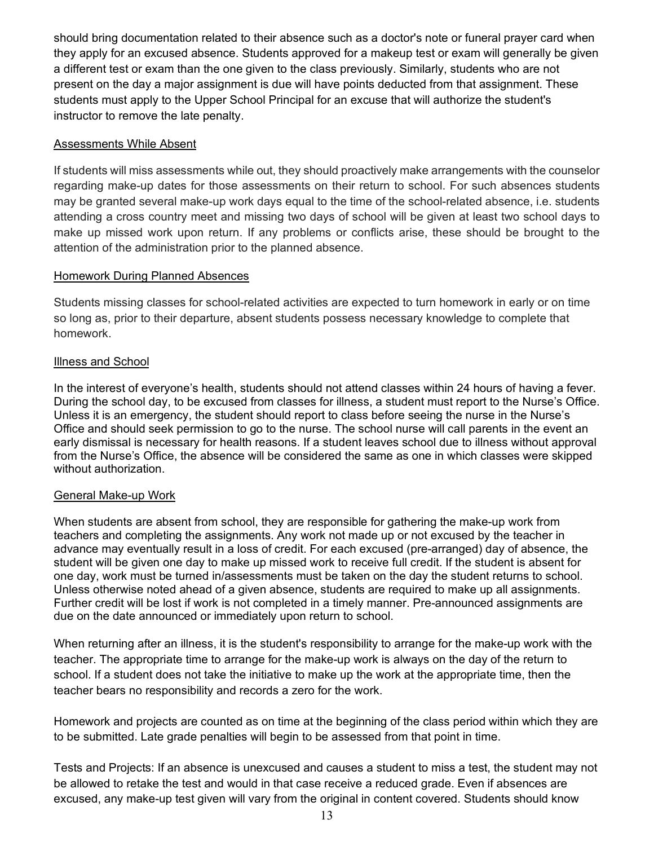should bring documentation related to their absence such as a doctor's note or funeral prayer card when they apply for an excused absence. Students approved for a makeup test or exam will generally be given a different test or exam than the one given to the class previously. Similarly, students who are not present on the day a major assignment is due will have points deducted from that assignment. These students must apply to the Upper School Principal for an excuse that will authorize the student's instructor to remove the late penalty.

# <span id="page-12-0"></span>Assessments While Absent

If students will miss assessments while out, they should proactively make arrangements with the counselor regarding make-up dates for those assessments on their return to school. For such absences students may be granted several make-up work days equal to the time of the school-related absence, i.e. students attending a cross country meet and missing two days of school will be given at least two school days to make up missed work upon return. If any problems or conflicts arise, these should be brought to the attention of the administration prior to the planned absence.

#### <span id="page-12-1"></span>**Homework During Planned Absences**

Students missing classes for school-related activities are expected to turn homework in early or on time so long as, prior to their departure, absent students possess necessary knowledge to complete that homework.

# <span id="page-12-2"></span>Illness and School

In the interest of everyone's health, students should not attend classes within 24 hours of having a fever. During the school day, to be excused from classes for illness, a student must report to the Nurse's Office. Unless it is an emergency, the student should report to class before seeing the nurse in the Nurse's Office and should seek permission to go to the nurse. The school nurse will call parents in the event an early dismissal is necessary for health reasons. If a student leaves school due to illness without approval from the Nurse's Office, the absence will be considered the same as one in which classes were skipped without authorization.

#### <span id="page-12-3"></span>General Make-up Work

When students are absent from school, they are responsible for gathering the make-up work from teachers and completing the assignments. Any work not made up or not excused by the teacher in advance may eventually result in a loss of credit. For each excused (pre-arranged) day of absence, the student will be given one day to make up missed work to receive full credit. If the student is absent for one day, work must be turned in/assessments must be taken on the day the student returns to school. Unless otherwise noted ahead of a given absence, students are required to make up all assignments. Further credit will be lost if work is not completed in a timely manner. Pre-announced assignments are due on the date announced or immediately upon return to school.

When returning after an illness, it is the student's responsibility to arrange for the make-up work with the teacher. The appropriate time to arrange for the make-up work is always on the day of the return to school. If a student does not take the initiative to make up the work at the appropriate time, then the teacher bears no responsibility and records a zero for the work.

Homework and projects are counted as on time at the beginning of the class period within which they are to be submitted. Late grade penalties will begin to be assessed from that point in time.

Tests and Projects: If an absence is unexcused and causes a student to miss a test, the student may not be allowed to retake the test and would in that case receive a reduced grade. Even if absences are excused, any make-up test given will vary from the original in content covered. Students should know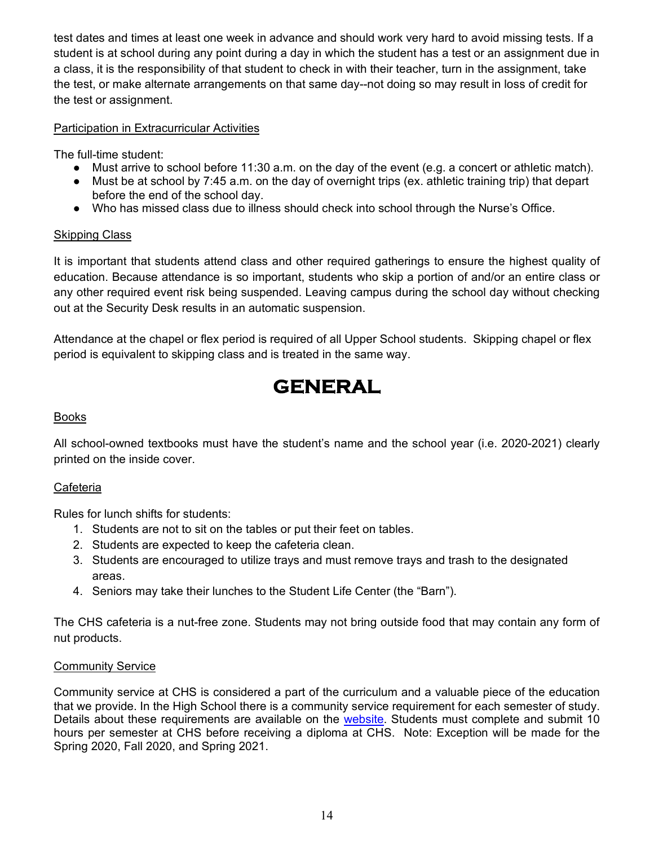test dates and times at least one week in advance and should work very hard to avoid missing tests. If a student is at school during any point during a day in which the student has a test or an assignment due in a class, it is the responsibility of that student to check in with their teacher, turn in the assignment, take the test, or make alternate arrangements on that same day--not doing so may result in loss of credit for the test or assignment.

# <span id="page-13-0"></span>Participation in Extracurricular Activities

The full-time student:

- Must arrive to school before 11:30 a.m. on the day of the event (e.g. a concert or athletic match).
- Must be at school by 7:45 a.m. on the day of overnight trips (ex. athletic training trip) that depart before the end of the school day.
- Who has missed class due to illness should check into school through the Nurse's Office.

# <span id="page-13-1"></span>Skipping Class

It is important that students attend class and other required gatherings to ensure the highest quality of education. Because attendance is so important, students who skip a portion of and/or an entire class or any other required event risk being suspended. Leaving campus during the school day without checking out at the Security Desk results in an automatic suspension.

<span id="page-13-2"></span>Attendance at the chapel or flex period is required of all Upper School students. Skipping chapel or flex period is equivalent to skipping class and is treated in the same way.

# **GENERAL**

# <span id="page-13-3"></span>Books

All school-owned textbooks must have the student's name and the school year (i.e. 2020-2021) clearly printed on the inside cover.

# <span id="page-13-4"></span>Cafeteria

Rules for lunch shifts for students:

- 1. Students are not to sit on the tables or put their feet on tables.
- 2. Students are expected to keep the cafeteria clean.
- 3. Students are encouraged to utilize trays and must remove trays and trash to the designated areas.
- 4. Seniors may take their lunches to the Student Life Center (the "Barn").

The CHS cafeteria is a nut-free zone. Students may not bring outside food that may contain any form of nut products.

# <span id="page-13-5"></span>Community Service

Community service at CHS is considered a part of the curriculum and a valuable piece of the education that we provide. In the High School there is a community service requirement for each semester of study. Details about these requirements are available on the [website.](https://www.kingsmen.org/student-life/light.cfm) Students must complete and submit 10 hours per semester at CHS before receiving a diploma at CHS. Note: Exception will be made for the Spring 2020, Fall 2020, and Spring 2021.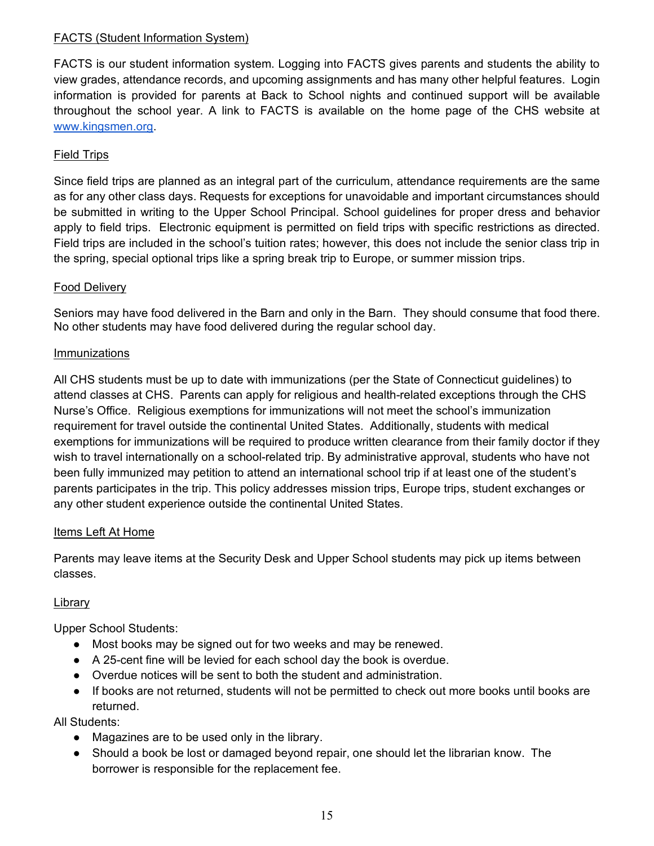# <span id="page-14-0"></span>FACTS (Student Information System)

FACTS is our student information system. Logging into FACTS gives parents and students the ability to view grades, attendance records, and upcoming assignments and has many other helpful features. Login information is provided for parents at Back to School nights and continued support will be available throughout the school year. A link to FACTS is available on the home page of the CHS website a[t](http://www.kingsmen.org/) [www.kingsmen.org.](http://www.kingsmen.org/)

# <span id="page-14-1"></span>Field Trips

Since field trips are planned as an integral part of the curriculum, attendance requirements are the same as for any other class days. Requests for exceptions for unavoidable and important circumstances should be submitted in writing to the Upper School Principal. School guidelines for proper dress and behavior apply to field trips. Electronic equipment is permitted on field trips with specific restrictions as directed. Field trips are included in the school's tuition rates; however, this does not include the senior class trip in the spring, special optional trips like a spring break trip to Europe, or summer mission trips.

# <span id="page-14-2"></span>Food Delivery

Seniors may have food delivered in the Barn and only in the Barn. They should consume that food there. No other students may have food delivered during the regular school day.

# <span id="page-14-3"></span>Immunizations

All CHS students must be up to date with immunizations (per the State of Connecticut guidelines) to attend classes at CHS. Parents can apply for religious and health-related exceptions through the CHS Nurse's Office. Religious exemptions for immunizations will not meet the school's immunization requirement for travel outside the continental United States. Additionally, students with medical exemptions for immunizations will be required to produce written clearance from their family doctor if they wish to travel internationally on a school-related trip. By administrative approval, students who have not been fully immunized may petition to attend an international school trip if at least one of the student's parents participates in the trip. This policy addresses mission trips, Europe trips, student exchanges or any other student experience outside the continental United States.

# <span id="page-14-4"></span>Items Left At Home

Parents may leave items at the Security Desk and Upper School students may pick up items between classes.

# <span id="page-14-5"></span>Library

Upper School Students:

- Most books may be signed out for two weeks and may be renewed.
- A 25-cent fine will be levied for each school day the book is overdue.
- Overdue notices will be sent to both the student and administration.
- If books are not returned, students will not be permitted to check out more books until books are returned.

All Students:

- Magazines are to be used only in the library.
- Should a book be lost or damaged beyond repair, one should let the librarian know. The borrower is responsible for the replacement fee.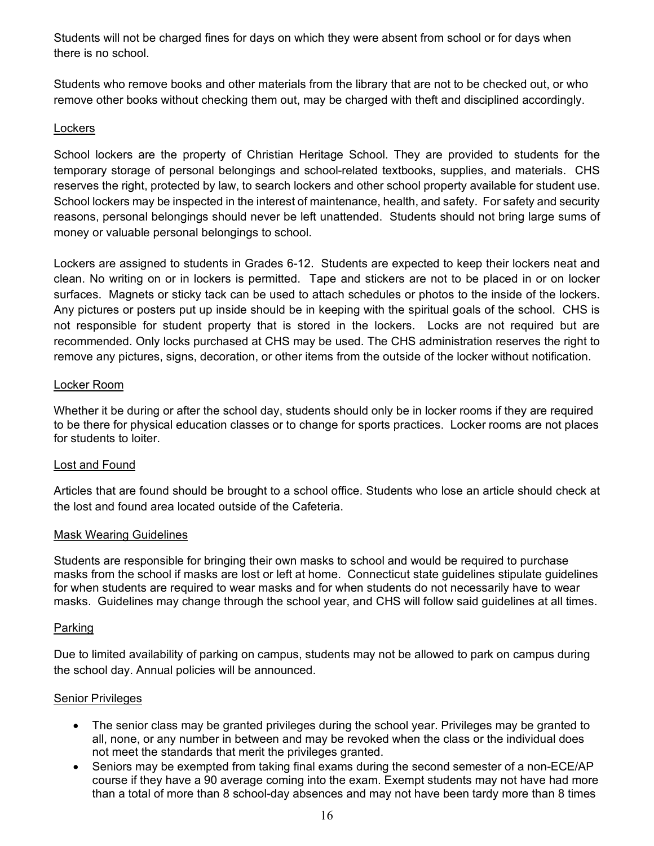Students will not be charged fines for days on which they were absent from school or for days when there is no school.

Students who remove books and other materials from the library that are not to be checked out, or who remove other books without checking them out, may be charged with theft and disciplined accordingly.

# <span id="page-15-0"></span>**Lockers**

School lockers are the property of Christian Heritage School. They are provided to students for the temporary storage of personal belongings and school-related textbooks, supplies, and materials. CHS reserves the right, protected by law, to search lockers and other school property available for student use. School lockers may be inspected in the interest of maintenance, health, and safety. For safety and security reasons, personal belongings should never be left unattended. Students should not bring large sums of money or valuable personal belongings to school.

Lockers are assigned to students in Grades 6-12. Students are expected to keep their lockers neat and clean. No writing on or in lockers is permitted. Tape and stickers are not to be placed in or on locker surfaces. Magnets or sticky tack can be used to attach schedules or photos to the inside of the lockers. Any pictures or posters put up inside should be in keeping with the spiritual goals of the school. CHS is not responsible for student property that is stored in the lockers. Locks are not required but are recommended. Only locks purchased at CHS may be used. The CHS administration reserves the right to remove any pictures, signs, decoration, or other items from the outside of the locker without notification.

#### <span id="page-15-1"></span>Locker Room

Whether it be during or after the school day, students should only be in locker rooms if they are required to be there for physical education classes or to change for sports practices. Locker rooms are not places for students to loiter.

#### <span id="page-15-2"></span>Lost and Found

Articles that are found should be brought to a school office. Students who lose an article should check at the lost and found area located outside of the Cafeteria.

#### <span id="page-15-3"></span>Mask Wearing Guidelines

Students are responsible for bringing their own masks to school and would be required to purchase masks from the school if masks are lost or left at home. Connecticut state guidelines stipulate guidelines for when students are required to wear masks and for when students do not necessarily have to wear masks. Guidelines may change through the school year, and CHS will follow said guidelines at all times.

#### <span id="page-15-4"></span>Parking

Due to limited availability of parking on campus, students may not be allowed to park on campus during the school day. Annual policies will be announced.

#### <span id="page-15-5"></span>**Senior Privileges**

- The senior class may be granted privileges during the school year. Privileges may be granted to all, none, or any number in between and may be revoked when the class or the individual does not meet the standards that merit the privileges granted.
- Seniors may be exempted from taking final exams during the second semester of a non-ECE/AP course if they have a 90 average coming into the exam. Exempt students may not have had more than a total of more than 8 school-day absences and may not have been tardy more than 8 times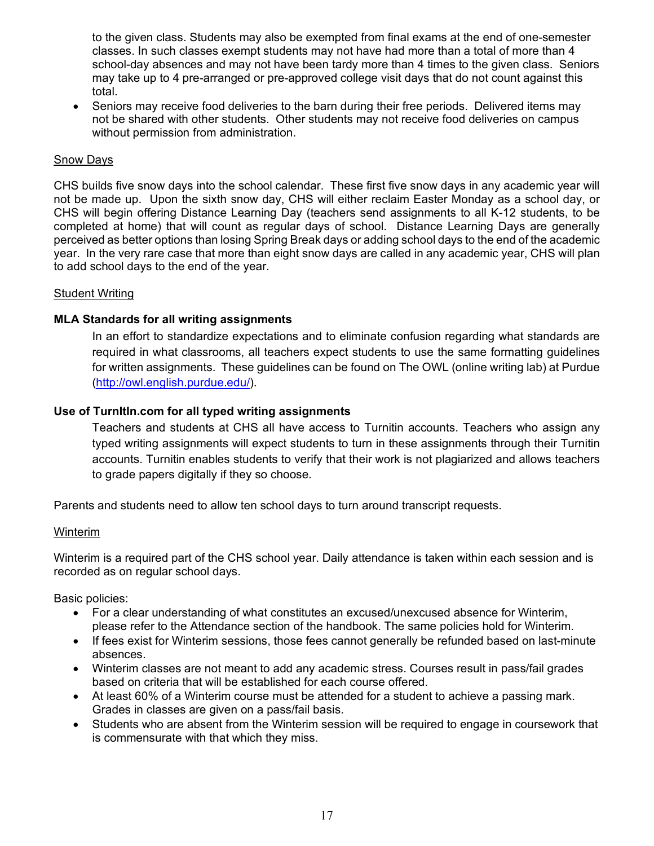to the given class. Students may also be exempted from final exams at the end of one-semester classes. In such classes exempt students may not have had more than a total of more than 4 school-day absences and may not have been tardy more than 4 times to the given class. Seniors may take up to 4 pre-arranged or pre-approved college visit days that do not count against this total.

• Seniors may receive food deliveries to the barn during their free periods. Delivered items may not be shared with other students. Other students may not receive food deliveries on campus without permission from administration.

#### <span id="page-16-0"></span>Snow Days

CHS builds five snow days into the school calendar. These first five snow days in any academic year will not be made up. Upon the sixth snow day, CHS will either reclaim Easter Monday as a school day, or CHS will begin offering Distance Learning Day (teachers send assignments to all K-12 students, to be completed at home) that will count as regular days of school. Distance Learning Days are generally perceived as better options than losing Spring Break days or adding school days to the end of the academic year. In the very rare case that more than eight snow days are called in any academic year, CHS will plan to add school days to the end of the year.

#### <span id="page-16-1"></span>Student Writing

#### <span id="page-16-2"></span>**MLA Standards for all writing assignments**

In an effort to standardize expectations and to eliminate confusion regarding what standards are required in what classrooms, all teachers expect students to use the same formatting guidelines for written assignments. These guidelines can be found on The OWL (online writing lab) at Purdue [\(http://owl.english.purdue.edu/\)](http://owl.english.purdue.edu/).

#### <span id="page-16-3"></span>**Use of TurnItIn.com for all typed writing assignments**

Teachers and students at CHS all have access to Turnitin accounts. Teachers who assign any typed writing assignments will expect students to turn in these assignments through their Turnitin accounts. Turnitin enables students to verify that their work is not plagiarized and allows teachers to grade papers digitally if they so choose.

<span id="page-16-4"></span>Parents and students need to allow ten school days to turn around transcript requests.

#### Winterim

Winterim is a required part of the CHS school year. Daily attendance is taken within each session and is recorded as on regular school days.

Basic policies:

- For a clear understanding of what constitutes an excused/unexcused absence for Winterim, please refer to the Attendance section of the handbook. The same policies hold for Winterim.
- If fees exist for Winterim sessions, those fees cannot generally be refunded based on last-minute absences.
- Winterim classes are not meant to add any academic stress. Courses result in pass/fail grades based on criteria that will be established for each course offered.
- At least 60% of a Winterim course must be attended for a student to achieve a passing mark. Grades in classes are given on a pass/fail basis.
- Students who are absent from the Winterim session will be required to engage in coursework that is commensurate with that which they miss.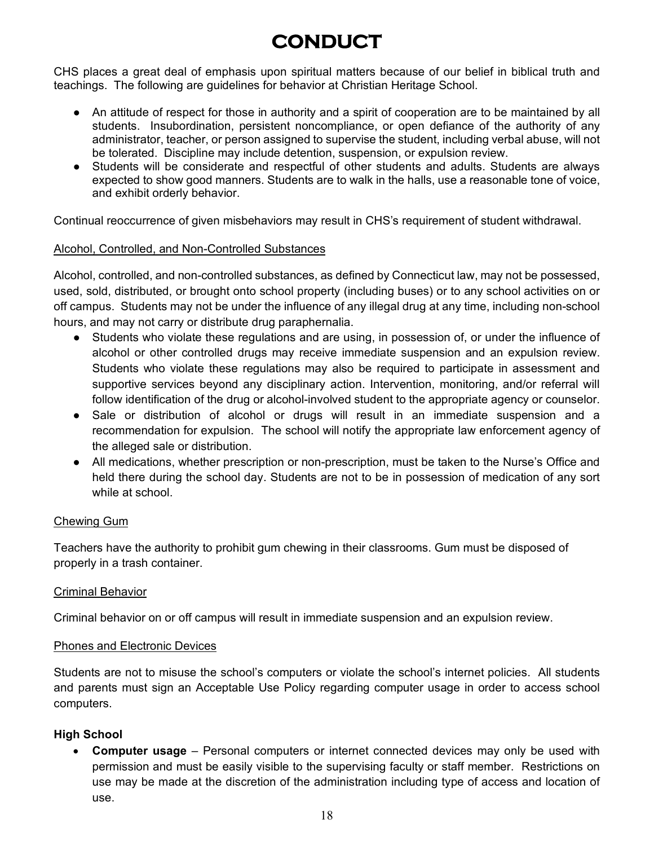# **CONDUCT**

<span id="page-17-0"></span>CHS places a great deal of emphasis upon spiritual matters because of our belief in biblical truth and teachings. The following are guidelines for behavior at Christian Heritage School.

- An attitude of respect for those in authority and a spirit of cooperation are to be maintained by all students. Insubordination, persistent noncompliance, or open defiance of the authority of any administrator, teacher, or person assigned to supervise the student, including verbal abuse, will not be tolerated. Discipline may include detention, suspension, or expulsion review.
- Students will be considerate and respectful of other students and adults. Students are always expected to show good manners. Students are to walk in the halls, use a reasonable tone of voice, and exhibit orderly behavior.

Continual reoccurrence of given misbehaviors may result in CHS's requirement of student withdrawal.

# <span id="page-17-1"></span>Alcohol, Controlled, and Non-Controlled Substances

Alcohol, controlled, and non-controlled substances, as defined by Connecticut law, may not be possessed, used, sold, distributed, or brought onto school property (including buses) or to any school activities on or off campus. Students may not be under the influence of any illegal drug at any time, including non-school hours, and may not carry or distribute drug paraphernalia.

- Students who violate these regulations and are using, in possession of, or under the influence of alcohol or other controlled drugs may receive immediate suspension and an expulsion review. Students who violate these regulations may also be required to participate in assessment and supportive services beyond any disciplinary action. Intervention, monitoring, and/or referral will follow identification of the drug or alcohol-involved student to the appropriate agency or counselor.
- Sale or distribution of alcohol or drugs will result in an immediate suspension and a recommendation for expulsion. The school will notify the appropriate law enforcement agency of the alleged sale or distribution.
- All medications, whether prescription or non-prescription, must be taken to the Nurse's Office and held there during the school day. Students are not to be in possession of medication of any sort while at school.

# <span id="page-17-2"></span>Chewing Gum

Teachers have the authority to prohibit gum chewing in their classrooms. Gum must be disposed of properly in a trash container.

#### <span id="page-17-3"></span>Criminal Behavior

Criminal behavior on or off campus will result in immediate suspension and an expulsion review.

#### <span id="page-17-4"></span>Phones and Electronic Devices

Students are not to misuse the school's computers or violate the school's internet policies. All students and parents must sign an Acceptable Use Policy regarding computer usage in order to access school computers.

# **High School**

• **Computer usage** – Personal computers or internet connected devices may only be used with permission and must be easily visible to the supervising faculty or staff member. Restrictions on use may be made at the discretion of the administration including type of access and location of use.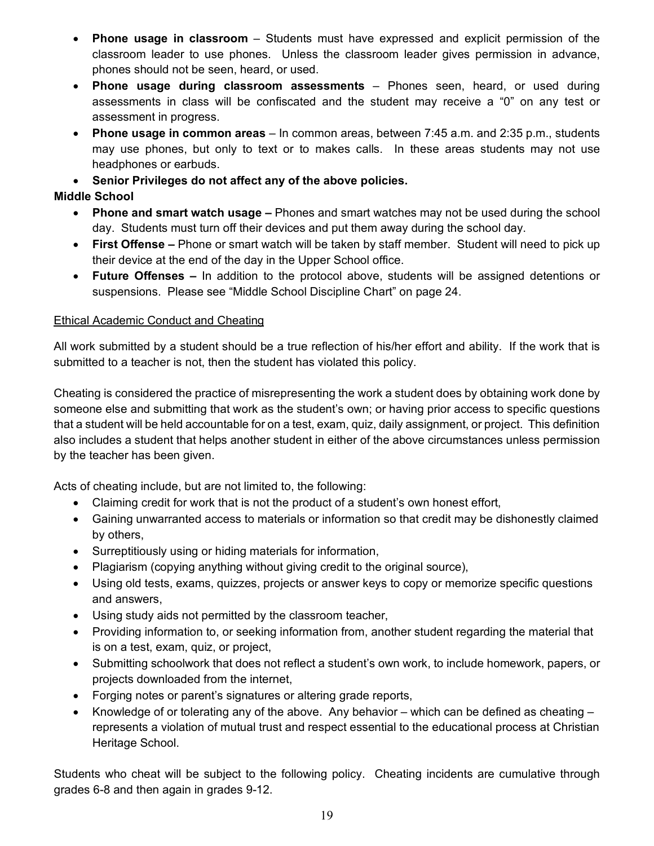- **Phone usage in classroom** Students must have expressed and explicit permission of the classroom leader to use phones. Unless the classroom leader gives permission in advance, phones should not be seen, heard, or used.
- **Phone usage during classroom assessments** Phones seen, heard, or used during assessments in class will be confiscated and the student may receive a "0" on any test or assessment in progress.
- **Phone usage in common areas** In common areas, between 7:45 a.m. and 2:35 p.m., students may use phones, but only to text or to makes calls. In these areas students may not use headphones or earbuds.
- **Senior Privileges do not affect any of the above policies.**

# **Middle School**

- **Phone and smart watch usage –** Phones and smart watches may not be used during the school day. Students must turn off their devices and put them away during the school day.
- **First Offense –** Phone or smart watch will be taken by staff member. Student will need to pick up their device at the end of the day in the Upper School office.
- **Future Offenses –** In addition to the protocol above, students will be assigned detentions or suspensions. Please see "Middle School Discipline Chart" on page 24.

# <span id="page-18-0"></span>Ethical Academic Conduct and Cheating

All work submitted by a student should be a true reflection of his/her effort and ability. If the work that is submitted to a teacher is not, then the student has violated this policy.

Cheating is considered the practice of misrepresenting the work a student does by obtaining work done by someone else and submitting that work as the student's own; or having prior access to specific questions that a student will be held accountable for on a test, exam, quiz, daily assignment, or project. This definition also includes a student that helps another student in either of the above circumstances unless permission by the teacher has been given.

Acts of cheating include, but are not limited to, the following:

- Claiming credit for work that is not the product of a student's own honest effort,
- Gaining unwarranted access to materials or information so that credit may be dishonestly claimed by others,
- Surreptitiously using or hiding materials for information,
- Plagiarism (copying anything without giving credit to the original source),
- Using old tests, exams, quizzes, projects or answer keys to copy or memorize specific questions and answers,
- Using study aids not permitted by the classroom teacher,
- Providing information to, or seeking information from, another student regarding the material that is on a test, exam, quiz, or project,
- Submitting schoolwork that does not reflect a student's own work, to include homework, papers, or projects downloaded from the internet,
- Forging notes or parent's signatures or altering grade reports,
- Knowledge of or tolerating any of the above. Any behavior which can be defined as cheating  $$ represents a violation of mutual trust and respect essential to the educational process at Christian Heritage School.

Students who cheat will be subject to the following policy. Cheating incidents are cumulative through grades 6-8 and then again in grades 9-12.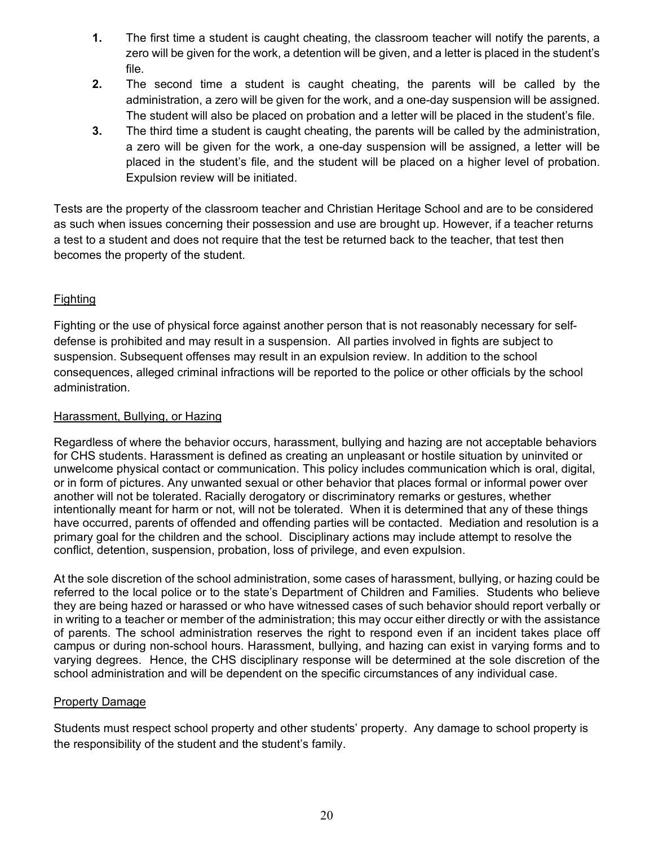- **1.** The first time a student is caught cheating, the classroom teacher will notify the parents, a zero will be given for the work, a detention will be given, and a letter is placed in the student's file.
- **2.** The second time a student is caught cheating, the parents will be called by the administration, a zero will be given for the work, and a one-day suspension will be assigned. The student will also be placed on probation and a letter will be placed in the student's file.
- **3.** The third time a student is caught cheating, the parents will be called by the administration, a zero will be given for the work, a one-day suspension will be assigned, a letter will be placed in the student's file, and the student will be placed on a higher level of probation. Expulsion review will be initiated.

Tests are the property of the classroom teacher and Christian Heritage School and are to be considered as such when issues concerning their possession and use are brought up. However, if a teacher returns a test to a student and does not require that the test be returned back to the teacher, that test then becomes the property of the student.

# <span id="page-19-0"></span>**Fighting**

Fighting or the use of physical force against another person that is not reasonably necessary for selfdefense is prohibited and may result in a suspension. All parties involved in fights are subject to suspension. Subsequent offenses may result in an expulsion review. In addition to the school consequences, alleged criminal infractions will be reported to the police or other officials by the school administration.

# <span id="page-19-1"></span>Harassment, Bullying, or Hazing

Regardless of where the behavior occurs, harassment, bullying and hazing are not acceptable behaviors for CHS students. Harassment is defined as creating an unpleasant or hostile situation by uninvited or unwelcome physical contact or communication. This policy includes communication which is oral, digital, or in form of pictures. Any unwanted sexual or other behavior that places formal or informal power over another will not be tolerated. Racially derogatory or discriminatory remarks or gestures, whether intentionally meant for harm or not, will not be tolerated. When it is determined that any of these things have occurred, parents of offended and offending parties will be contacted. Mediation and resolution is a primary goal for the children and the school. Disciplinary actions may include attempt to resolve the conflict, detention, suspension, probation, loss of privilege, and even expulsion.

At the sole discretion of the school administration, some cases of harassment, bullying, or hazing could be referred to the local police or to the state's Department of Children and Families. Students who believe they are being hazed or harassed or who have witnessed cases of such behavior should report verbally or in writing to a teacher or member of the administration; this may occur either directly or with the assistance of parents. The school administration reserves the right to respond even if an incident takes place off campus or during non-school hours. Harassment, bullying, and hazing can exist in varying forms and to varying degrees. Hence, the CHS disciplinary response will be determined at the sole discretion of the school administration and will be dependent on the specific circumstances of any individual case.

#### <span id="page-19-2"></span>Property Damage

Students must respect school property and other students' property. Any damage to school property is the responsibility of the student and the student's family.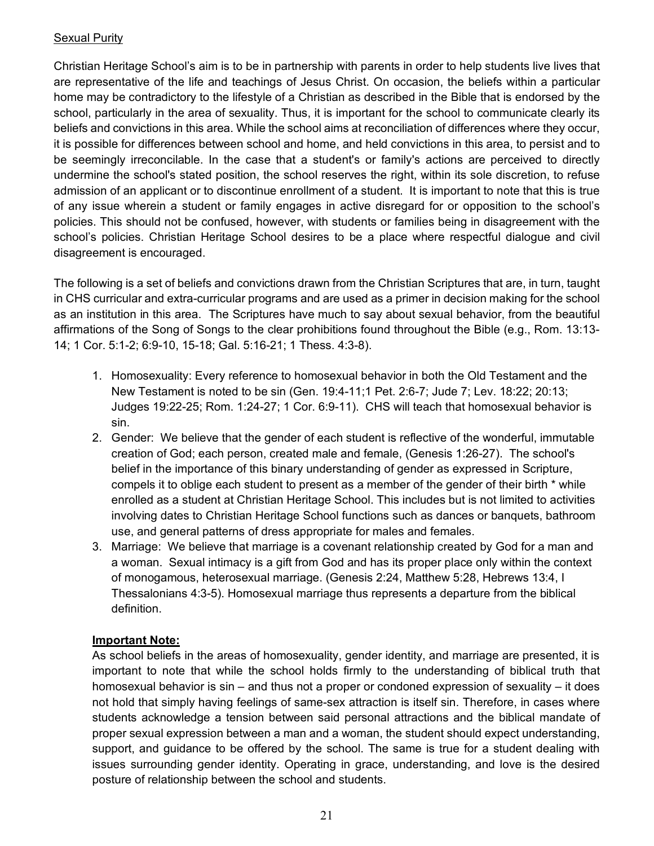# <span id="page-20-0"></span>Sexual Purity

Christian Heritage School's aim is to be in partnership with parents in order to help students live lives that are representative of the life and teachings of Jesus Christ. On occasion, the beliefs within a particular home may be contradictory to the lifestyle of a Christian as described in the Bible that is endorsed by the school, particularly in the area of sexuality. Thus, it is important for the school to communicate clearly its beliefs and convictions in this area. While the school aims at reconciliation of differences where they occur, it is possible for differences between school and home, and held convictions in this area, to persist and to be seemingly irreconcilable. In the case that a student's or family's actions are perceived to directly undermine the school's stated position, the school reserves the right, within its sole discretion, to refuse admission of an applicant or to discontinue enrollment of a student. It is important to note that this is true of any issue wherein a student or family engages in active disregard for or opposition to the school's policies. This should not be confused, however, with students or families being in disagreement with the school's policies. Christian Heritage School desires to be a place where respectful dialogue and civil disagreement is encouraged.

The following is a set of beliefs and convictions drawn from the Christian Scriptures that are, in turn, taught in CHS curricular and extra-curricular programs and are used as a primer in decision making for the school as an institution in this area. The Scriptures have much to say about sexual behavior, from the beautiful affirmations of the Song of Songs to the clear prohibitions found throughout the Bible (e.g., Rom. 13:13- 14; 1 Cor. 5:1-2; 6:9-10, 15-18; Gal. 5:16-21; 1 Thess. 4:3-8).

- 1. Homosexuality: Every reference to homosexual behavior in both the Old Testament and the New Testament is noted to be sin (Gen. 19:4-11;1 Pet. 2:6-7; Jude 7; Lev. 18:22; 20:13; Judges 19:22-25; Rom. 1:24-27; 1 Cor. 6:9-11). CHS will teach that homosexual behavior is sin.
- 2. Gender: We believe that the gender of each student is reflective of the wonderful, immutable creation of God; each person, created male and female, (Genesis 1:26-27). The school's belief in the importance of this binary understanding of gender as expressed in Scripture, compels it to oblige each student to present as a member of the gender of their birth \* while enrolled as a student at Christian Heritage School. This includes but is not limited to activities involving dates to Christian Heritage School functions such as dances or banquets, bathroom use, and general patterns of dress appropriate for males and females.
- 3. Marriage: We believe that marriage is a covenant relationship created by God for a man and a woman. Sexual intimacy is a gift from God and has its proper place only within the context of monogamous, heterosexual marriage. (Genesis 2:24, Matthew 5:28, Hebrews 13:4, I Thessalonians 4:3-5). Homosexual marriage thus represents a departure from the biblical definition.

#### **Important Note:**

As school beliefs in the areas of homosexuality, gender identity, and marriage are presented, it is important to note that while the school holds firmly to the understanding of biblical truth that homosexual behavior is sin – and thus not a proper or condoned expression of sexuality – it does not hold that simply having feelings of same-sex attraction is itself sin. Therefore, in cases where students acknowledge a tension between said personal attractions and the biblical mandate of proper sexual expression between a man and a woman, the student should expect understanding, support, and guidance to be offered by the school. The same is true for a student dealing with issues surrounding gender identity. Operating in grace, understanding, and love is the desired posture of relationship between the school and students.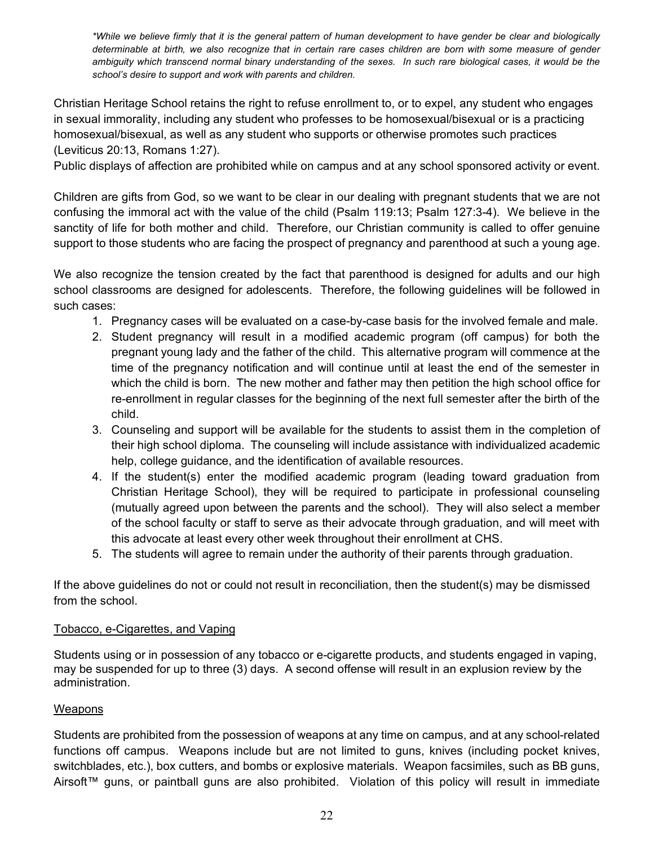*\*While we believe firmly that it is the general pattern of human development to have gender be clear and biologically determinable at birth, we also recognize that in certain rare cases children are born with some measure of gender ambiguity which transcend normal binary understanding of the sexes. In such rare biological cases, it would be the school's desire to support and work with parents and children.*

Christian Heritage School retains the right to refuse enrollment to, or to expel, any student who engages in sexual immorality, including any student who professes to be homosexual/bisexual or is a practicing homosexual/bisexual, as well as any student who supports or otherwise promotes such practices (Leviticus 20:13, Romans 1:27).

Public displays of affection are prohibited while on campus and at any school sponsored activity or event.

Children are gifts from God, so we want to be clear in our dealing with pregnant students that we are not confusing the immoral act with the value of the child (Psalm 119:13; Psalm 127:3-4). We believe in the sanctity of life for both mother and child. Therefore, our Christian community is called to offer genuine support to those students who are facing the prospect of pregnancy and parenthood at such a young age.

We also recognize the tension created by the fact that parenthood is designed for adults and our high school classrooms are designed for adolescents. Therefore, the following guidelines will be followed in such cases:

- 1. Pregnancy cases will be evaluated on a case-by-case basis for the involved female and male.
- 2. Student pregnancy will result in a modified academic program (off campus) for both the pregnant young lady and the father of the child. This alternative program will commence at the time of the pregnancy notification and will continue until at least the end of the semester in which the child is born. The new mother and father may then petition the high school office for re-enrollment in regular classes for the beginning of the next full semester after the birth of the child.
- 3. Counseling and support will be available for the students to assist them in the completion of their high school diploma. The counseling will include assistance with individualized academic help, college guidance, and the identification of available resources.
- 4. If the student(s) enter the modified academic program (leading toward graduation from Christian Heritage School), they will be required to participate in professional counseling (mutually agreed upon between the parents and the school). They will also select a member of the school faculty or staff to serve as their advocate through graduation, and will meet with this advocate at least every other week throughout their enrollment at CHS.
- 5. The students will agree to remain under the authority of their parents through graduation.

If the above guidelines do not or could not result in reconciliation, then the student(s) may be dismissed from the school.

#### <span id="page-21-0"></span>Tobacco, e-Cigarettes, and Vaping

Students using or in possession of any tobacco or e-cigarette products, and students engaged in vaping, may be suspended for up to three (3) days. A second offense will result in an explusion review by the administration.

#### <span id="page-21-1"></span>Weapons

Students are prohibited from the possession of weapons at any time on campus, and at any school-related functions off campus. Weapons include but are not limited to guns, knives (including pocket knives, switchblades, etc.), box cutters, and bombs or explosive materials. Weapon facsimiles, such as BB guns, Airsoft™ guns, or paintball guns are also prohibited. Violation of this policy will result in immediate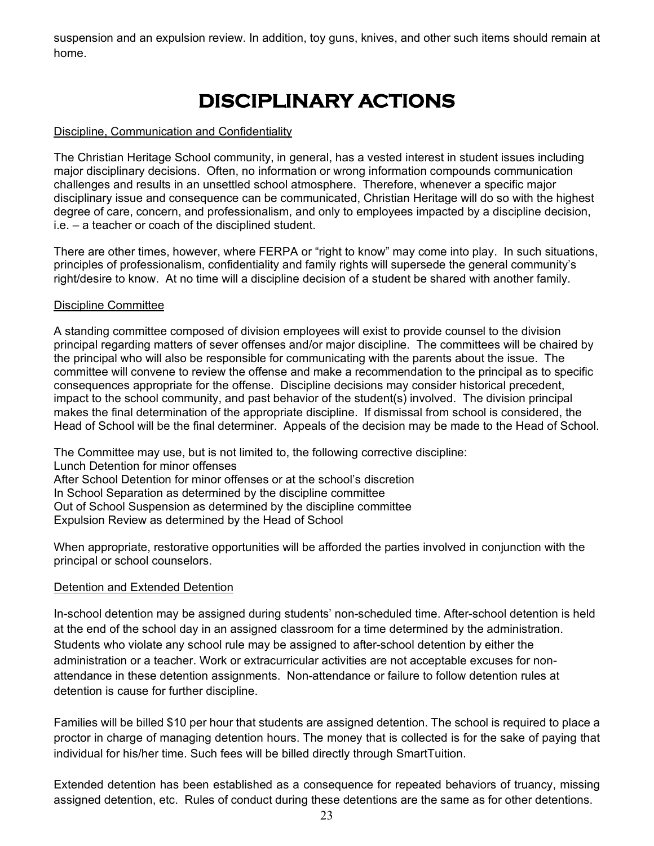<span id="page-22-0"></span>suspension and an expulsion review. In addition, toy guns, knives, and other such items should remain at home.

# **DISCIPLINARY ACTIONS**

#### <span id="page-22-1"></span>Discipline, Communication and Confidentiality

The Christian Heritage School community, in general, has a vested interest in student issues including major disciplinary decisions. Often, no information or wrong information compounds communication challenges and results in an unsettled school atmosphere. Therefore, whenever a specific major disciplinary issue and consequence can be communicated, Christian Heritage will do so with the highest degree of care, concern, and professionalism, and only to employees impacted by a discipline decision, i.e. – a teacher or coach of the disciplined student.

There are other times, however, where FERPA or "right to know" may come into play. In such situations, principles of professionalism, confidentiality and family rights will supersede the general community's right/desire to know. At no time will a discipline decision of a student be shared with another family.

#### <span id="page-22-2"></span>Discipline Committee

A standing committee composed of division employees will exist to provide counsel to the division principal regarding matters of sever offenses and/or major discipline. The committees will be chaired by the principal who will also be responsible for communicating with the parents about the issue. The committee will convene to review the offense and make a recommendation to the principal as to specific consequences appropriate for the offense. Discipline decisions may consider historical precedent, impact to the school community, and past behavior of the student(s) involved. The division principal makes the final determination of the appropriate discipline. If dismissal from school is considered, the Head of School will be the final determiner. Appeals of the decision may be made to the Head of School.

The Committee may use, but is not limited to, the following corrective discipline: Lunch Detention for minor offenses After School Detention for minor offenses or at the school's discretion In School Separation as determined by the discipline committee Out of School Suspension as determined by the discipline committee Expulsion Review as determined by the Head of School

When appropriate, restorative opportunities will be afforded the parties involved in conjunction with the principal or school counselors.

#### <span id="page-22-3"></span>Detention and Extended Detention

In-school detention may be assigned during students' non-scheduled time. After-school detention is held at the end of the school day in an assigned classroom for a time determined by the administration. Students who violate any school rule may be assigned to after-school detention by either the administration or a teacher. Work or extracurricular activities are not acceptable excuses for nonattendance in these detention assignments. Non-attendance or failure to follow detention rules at detention is cause for further discipline.

Families will be billed \$10 per hour that students are assigned detention. The school is required to place a proctor in charge of managing detention hours. The money that is collected is for the sake of paying that individual for his/her time. Such fees will be billed directly through SmartTuition.

Extended detention has been established as a consequence for repeated behaviors of truancy, missing assigned detention, etc. Rules of conduct during these detentions are the same as for other detentions.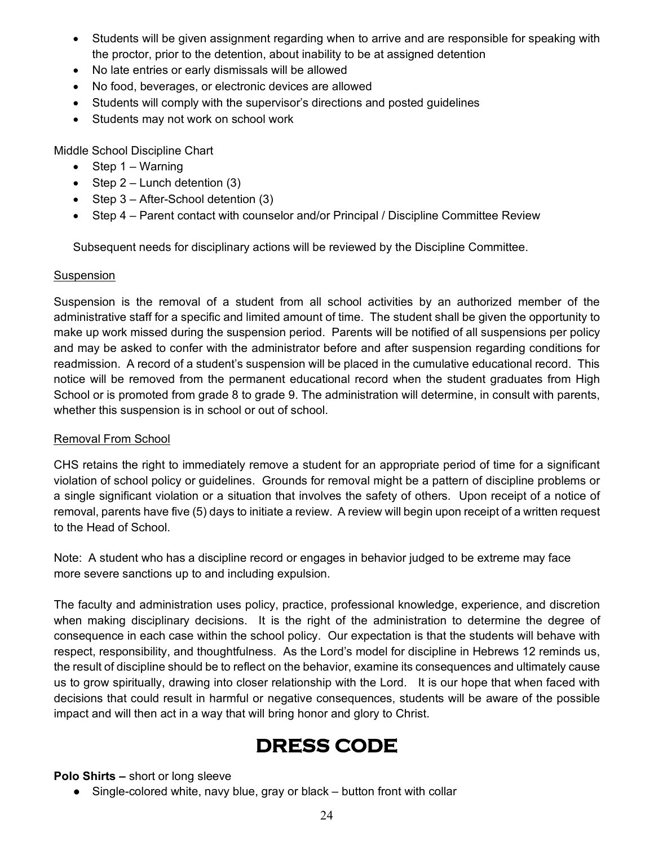- Students will be given assignment regarding when to arrive and are responsible for speaking with the proctor, prior to the detention, about inability to be at assigned detention
- No late entries or early dismissals will be allowed
- No food, beverages, or electronic devices are allowed
- Students will comply with the supervisor's directions and posted guidelines
- Students may not work on school work

Middle School Discipline Chart

- Step  $1 -$  Warning
- Step  $2$  Lunch detention  $(3)$
- Step 3 After-School detention (3)
- Step 4 Parent contact with counselor and/or Principal / Discipline Committee Review

Subsequent needs for disciplinary actions will be reviewed by the Discipline Committee.

# <span id="page-23-0"></span>**Suspension**

Suspension is the removal of a student from all school activities by an authorized member of the administrative staff for a specific and limited amount of time. The student shall be given the opportunity to make up work missed during the suspension period. Parents will be notified of all suspensions per policy and may be asked to confer with the administrator before and after suspension regarding conditions for readmission. A record of a student's suspension will be placed in the cumulative educational record. This notice will be removed from the permanent educational record when the student graduates from High School or is promoted from grade 8 to grade 9. The administration will determine, in consult with parents, whether this suspension is in school or out of school.

# <span id="page-23-1"></span>Removal From School

CHS retains the right to immediately remove a student for an appropriate period of time for a significant violation of school policy or guidelines. Grounds for removal might be a pattern of discipline problems or a single significant violation or a situation that involves the safety of others. Upon receipt of a notice of removal, parents have five (5) days to initiate a review. A review will begin upon receipt of a written request to the Head of School.

Note: A student who has a discipline record or engages in behavior judged to be extreme may face more severe sanctions up to and including expulsion.

The faculty and administration uses policy, practice, professional knowledge, experience, and discretion when making disciplinary decisions. It is the right of the administration to determine the degree of consequence in each case within the school policy. Our expectation is that the students will behave with respect, responsibility, and thoughtfulness. As the Lord's model for discipline in Hebrews 12 reminds us, the result of discipline should be to reflect on the behavior, examine its consequences and ultimately cause us to grow spiritually, drawing into closer relationship with the Lord. It is our hope that when faced with decisions that could result in harmful or negative consequences, students will be aware of the possible impact and will then act in a way that will bring honor and glory to Christ.

# **DRESS CODE**

<span id="page-23-2"></span>**Polo Shirts –** short or long sleeve

• Single-colored white, navy blue, gray or black – button front with collar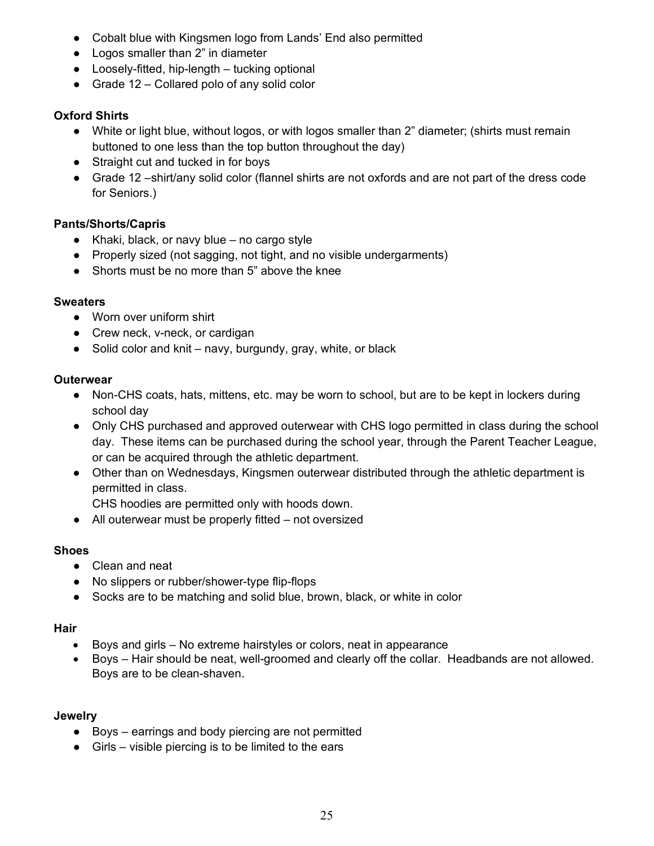- Cobalt blue with Kingsmen logo from Lands' End also permitted
- Logos smaller than 2" in diameter
- $\bullet$  Loosely-fitted, hip-length  $-$  tucking optional
- Grade 12 Collared polo of any solid color

# **Oxford Shirts**

- White or light blue, without logos, or with logos smaller than 2" diameter; (shirts must remain buttoned to one less than the top button throughout the day)
- Straight cut and tucked in for boys
- Grade 12 –shirt/any solid color (flannel shirts are not oxfords and are not part of the dress code for Seniors.)

# **Pants/Shorts/Capris**

- $\bullet$  Khaki, black, or navy blue no cargo style
- Properly sized (not sagging, not tight, and no visible undergarments)
- Shorts must be no more than 5" above the knee

# **Sweaters**

- Worn over uniform shirt
- Crew neck, v-neck, or cardigan
- Solid color and knit navy, burgundy, gray, white, or black

# **Outerwear**

- Non-CHS coats, hats, mittens, etc. may be worn to school, but are to be kept in lockers during school day
- Only CHS purchased and approved outerwear with CHS logo permitted in class during the school day. These items can be purchased during the school year, through the Parent Teacher League, or can be acquired through the athletic department.
- Other than on Wednesdays, Kingsmen outerwear distributed through the athletic department is permitted in class.

CHS hoodies are permitted only with hoods down.

● All outerwear must be properly fitted – not oversized

# **Shoes**

- Clean and neat
- No slippers or rubber/shower-type flip-flops
- Socks are to be matching and solid blue, brown, black, or white in color

# **Hair**

- Boys and girls No extreme hairstyles or colors, neat in appearance
- Boys Hair should be neat, well-groomed and clearly off the collar. Headbands are not allowed. Boys are to be clean-shaven.

# **Jewelry**

- Boys earrings and body piercing are not permitted
- $\bullet$  Girls visible piercing is to be limited to the ears